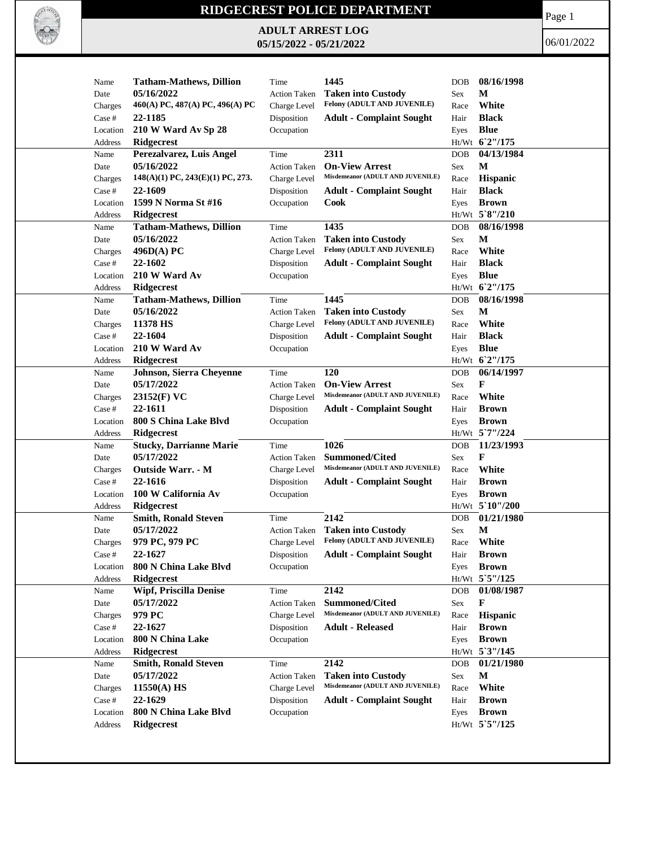

## **RIDGECREST POLICE DEPARTMENT**

**ADULT ARREST LOG 05/15/2022 - 05/21/2022**

Page 1

06/01/2022

| Name     | <b>Tatham-Mathews, Dillion</b>               | Time                | 1445                                                     | <b>DOB</b> | 08/16/1998        |
|----------|----------------------------------------------|---------------------|----------------------------------------------------------|------------|-------------------|
| Date     | 05/16/2022                                   | <b>Action Taken</b> | <b>Taken into Custody</b>                                | <b>Sex</b> | M                 |
| Charges  | 460(A) PC, 487(A) PC, 496(A) PC              | Charge Level        | Felony (ADULT AND JUVENILE)                              | Race       | White             |
| Case #   | 22-1185                                      | Disposition         | <b>Adult - Complaint Sought</b>                          | Hair       | <b>Black</b>      |
| Location | 210 W Ward Av Sp 28                          | Occupation          |                                                          | Eyes       | <b>Blue</b>       |
| Address  | <b>Ridgecrest</b>                            |                     |                                                          |            | Ht/Wt 62"/175     |
| Name     | Perezalvarez, Luis Angel                     | Time                | 2311                                                     | <b>DOB</b> | 04/13/1984        |
| Date     | 05/16/2022                                   | <b>Action Taken</b> | <b>On-View Arrest</b>                                    | Sex        | M                 |
| Charges  | $148(A)(1)$ PC, $243(E)(1)$ PC, 273.         | Charge Level        | Misdemeanor (ADULT AND JUVENILE)                         | Race       | <b>Hispanic</b>   |
| Case #   | 22-1609                                      | Disposition         | <b>Adult - Complaint Sought</b>                          | Hair       | <b>Black</b>      |
| Location | 1599 N Norma St #16                          | Occupation          | Cook                                                     |            | <b>Brown</b>      |
| Address  | <b>Ridgecrest</b>                            |                     |                                                          | Eyes       | Ht/Wt 5`8"/210    |
|          |                                              |                     | 1435                                                     |            | 08/16/1998        |
| Name     | <b>Tatham-Mathews, Dillion</b><br>05/16/2022 | Time                |                                                          | <b>DOB</b> | М                 |
| Date     |                                              | <b>Action Taken</b> | <b>Taken into Custody</b><br>Felony (ADULT AND JUVENILE) | Sex        |                   |
| Charges  | 496D(A)PC                                    | Charge Level        |                                                          | Race       | White             |
| Case #   | 22-1602                                      | Disposition         | <b>Adult - Complaint Sought</b>                          | Hair       | <b>Black</b>      |
| Location | 210 W Ward Av                                | Occupation          |                                                          | Eyes       | <b>Blue</b>       |
| Address  | Ridgecrest                                   |                     |                                                          |            | Ht/Wt 62"/175     |
| Name     | <b>Tatham-Mathews, Dillion</b>               | Time                | 1445                                                     | <b>DOB</b> | 08/16/1998        |
| Date     | 05/16/2022                                   | <b>Action Taken</b> | <b>Taken into Custody</b>                                | <b>Sex</b> | M                 |
| Charges  | 11378 HS                                     | Charge Level        | Felony (ADULT AND JUVENILE)                              | Race       | White             |
| Case #   | 22-1604                                      | Disposition         | <b>Adult - Complaint Sought</b>                          | Hair       | <b>Black</b>      |
| Location | 210 W Ward Av                                | Occupation          |                                                          | Eyes       | <b>Blue</b>       |
| Address  | <b>Ridgecrest</b>                            |                     |                                                          |            | Ht/Wt 62"/175     |
| Name     | Johnson, Sierra Cheyenne                     | Time                | 120                                                      | <b>DOB</b> | 06/14/1997        |
| Date     | 05/17/2022                                   | <b>Action Taken</b> | <b>On-View Arrest</b>                                    | Sex        | F                 |
| Charges  | $23152(F)$ VC                                | Charge Level        | Misdemeanor (ADULT AND JUVENILE)                         | Race       | White             |
| Case #   | 22-1611                                      | Disposition         | <b>Adult - Complaint Sought</b>                          | Hair       | <b>Brown</b>      |
| Location | 800 S China Lake Blvd                        | Occupation          |                                                          | Eyes       | <b>Brown</b>      |
| Address  | <b>Ridgecrest</b>                            |                     |                                                          |            | Ht/Wt 5'7"/224    |
| Name     | <b>Stucky, Darrianne Marie</b>               | Time                | 1026                                                     | <b>DOB</b> | 11/23/1993        |
| Date     | 05/17/2022                                   | <b>Action Taken</b> | <b>Summoned/Cited</b>                                    | Sex        | F                 |
| Charges  | <b>Outside Warr. - M</b>                     | Charge Level        | Misdemeanor (ADULT AND JUVENILE)                         | Race       | White             |
| Case #   | 22-1616                                      | Disposition         | <b>Adult - Complaint Sought</b>                          | Hair       | <b>Brown</b>      |
| Location | 100 W California Av                          | Occupation          |                                                          | Eyes       | <b>Brown</b>      |
| Address  | <b>Ridgecrest</b>                            |                     |                                                          |            | $Ht/Wt$ 5 10"/200 |
| Name     | <b>Smith, Ronald Steven</b>                  | Time                | 2142                                                     | <b>DOB</b> | 01/21/1980        |
| Date     | 05/17/2022                                   | <b>Action Taken</b> | <b>Taken into Custody</b>                                | Sex        | M                 |
| Charges  | 979 PC, 979 PC                               | Charge Level        | Felony (ADULT AND JUVENILE)                              | Race       | White             |
| Case #   | 22-1627                                      | Disposition         | <b>Adult - Complaint Sought</b>                          | Hair       | <b>Brown</b>      |
| Location | 800 N China Lake Blvd                        | Occupation          |                                                          | Eyes       | <b>Brown</b>      |
| Address  | <b>Ridgecrest</b>                            |                     |                                                          |            | Ht/Wt 5`5"/125    |
| Name     | <b>Wipf, Priscilla Denise</b>                | Time                | 2142                                                     | <b>DOB</b> | 01/08/1987        |
| Date     | 05/17/2022                                   | <b>Action Taken</b> | Summoned/Cited                                           | Sex        | F                 |
| Charges  | 979 PC                                       | Charge Level        | Misdemeanor (ADULT AND JUVENILE)                         | Race       | Hispanic          |
| Case #   | 22-1627                                      | Disposition         | <b>Adult - Released</b>                                  | Hair       | <b>Brown</b>      |
| Location | 800 N China Lake                             | Occupation          |                                                          | Eyes       | <b>Brown</b>      |
| Address  | Ridgecrest                                   |                     |                                                          |            | Ht/Wt 5'3"/145    |
| Name     | <b>Smith, Ronald Steven</b>                  | Time                | 2142                                                     | DOB        | 01/21/1980        |
| Date     | 05/17/2022                                   | <b>Action Taken</b> | <b>Taken into Custody</b>                                | Sex        | $\mathbf M$       |
| Charges  | 11550(A) HS                                  | Charge Level        | Misdemeanor (ADULT AND JUVENILE)                         | Race       | White             |
| Case #   | 22-1629                                      | Disposition         | <b>Adult - Complaint Sought</b>                          | Hair       | <b>Brown</b>      |
| Location | 800 N China Lake Blvd                        | Occupation          |                                                          | Eyes       | <b>Brown</b>      |
|          |                                              |                     |                                                          |            | Ht/Wt 5'5"/125    |
| Address  | <b>Ridgecrest</b>                            |                     |                                                          |            |                   |
|          |                                              |                     |                                                          |            |                   |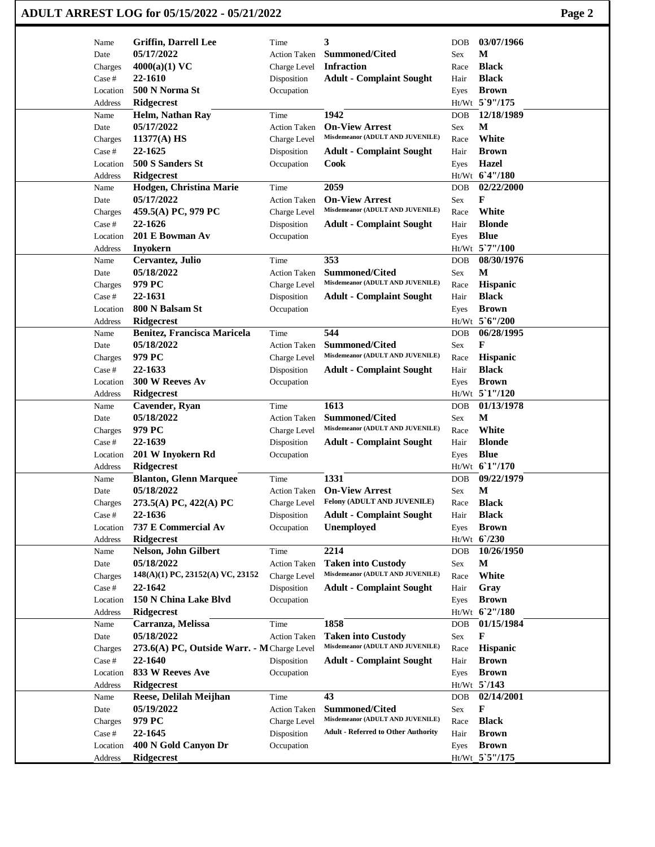|                   | ADULT ARREST LOG for 05/15/2022 - 05/21/2022              |                     |                                                               |             |                                | Page 2 |
|-------------------|-----------------------------------------------------------|---------------------|---------------------------------------------------------------|-------------|--------------------------------|--------|
| Name              | <b>Griffin, Darrell Lee</b>                               | Time                | 3                                                             | DOB         | 03/07/1966                     |        |
| Date              | 05/17/2022                                                | <b>Action Taken</b> | <b>Summoned/Cited</b>                                         | Sex         | М                              |        |
| Charges           | $4000(a)(1)$ VC                                           | Charge Level        | <b>Infraction</b>                                             | Race        | <b>Black</b>                   |        |
| Case #            | 22-1610                                                   | Disposition         | <b>Adult - Complaint Sought</b>                               | Hair        | <b>Black</b>                   |        |
| Location          | 500 N Norma St                                            | Occupation          |                                                               | Eyes        | <b>Brown</b>                   |        |
| Address           | <b>Ridgecrest</b>                                         |                     |                                                               |             | Ht/Wt 5`9"/175                 |        |
| Name              | Helm, Nathan Ray                                          | Time                | 1942                                                          | DOB         | 12/18/1989                     |        |
| Date              | 05/17/2022                                                | <b>Action Taken</b> | <b>On-View Arrest</b>                                         | Sex         | M                              |        |
| Charges           | $11377(A)$ HS                                             | Charge Level        | Misdemeanor (ADULT AND JUVENILE)                              | Race        | White                          |        |
| Case #            | 22-1625                                                   | Disposition         | <b>Adult - Complaint Sought</b>                               | Hair        | <b>Brown</b>                   |        |
| Location          | 500 S Sanders St                                          | Occupation          | <b>Cook</b>                                                   | Eyes        | <b>Hazel</b>                   |        |
| Address           | <b>Ridgecrest</b>                                         |                     |                                                               |             | Ht/Wt 6'4"/180                 |        |
| Name              | Hodgen, Christina Marie<br>05/17/2022                     | Time                | 2059                                                          | DOB         | 02/22/2000<br>F                |        |
| Date              |                                                           | <b>Action Taken</b> | <b>On-View Arrest</b><br>Misdemeanor (ADULT AND JUVENILE)     | Sex         | White                          |        |
| Charges<br>Case # | 459.5(A) PC, 979 PC<br>22-1626                            | Charge Level        |                                                               | Race        | <b>Blonde</b>                  |        |
| Location          | 201 E Bowman Av                                           | Disposition         | <b>Adult - Complaint Sought</b>                               | Hair        | <b>Blue</b>                    |        |
|                   |                                                           | Occupation          |                                                               | Eyes        | Ht/Wt 5`7"/100                 |        |
| Address<br>Name   | <b>Inyokern</b><br>Cervantez, Julio                       | Time                | 353                                                           | DOB         | 08/30/1976                     |        |
| Date              | 05/18/2022                                                | <b>Action Taken</b> | <b>Summoned/Cited</b>                                         | Sex         | M                              |        |
| Charges           | 979 PC                                                    | Charge Level        | Misdemeanor (ADULT AND JUVENILE)                              | Race        | Hispanic                       |        |
| Case #            | 22-1631                                                   | Disposition         | <b>Adult - Complaint Sought</b>                               | Hair        | <b>Black</b>                   |        |
| Location          | 800 N Balsam St                                           | Occupation          |                                                               | Eyes        | <b>Brown</b>                   |        |
| Address           | Ridgecrest                                                |                     |                                                               |             | Ht/Wt 5'6"/200                 |        |
| Name              | Benitez, Francisca Maricela                               | Time                | 544                                                           | DOB         | 06/28/1995                     |        |
| Date              | 05/18/2022                                                | <b>Action Taken</b> | <b>Summoned/Cited</b>                                         | Sex         | F                              |        |
| Charges           | 979 PC                                                    | Charge Level        | Misdemeanor (ADULT AND JUVENILE)                              | Race        | Hispanic                       |        |
| Case #            | 22-1633                                                   | Disposition         | <b>Adult - Complaint Sought</b>                               | Hair        | <b>Black</b>                   |        |
| Location          | 300 W Reeves Av                                           | Occupation          |                                                               | Eyes        | <b>Brown</b>                   |        |
| Address           | <b>Ridgecrest</b>                                         |                     |                                                               |             | Ht/Wt 5`1"/120                 |        |
| Name              | Cavender, Ryan                                            | Time                | 1613                                                          | DOB         | 01/13/1978                     |        |
| Date              | 05/18/2022                                                | <b>Action Taken</b> | <b>Summoned/Cited</b>                                         | Sex         | M                              |        |
| Charges           | 979 PC                                                    | Charge Level        | Misdemeanor (ADULT AND JUVENILE)                              | Race        | White                          |        |
| Case #            | 22-1639                                                   | Disposition         | <b>Adult - Complaint Sought</b>                               | Hair        | <b>Blonde</b>                  |        |
| Location          | 201 W Inyokern Rd                                         | Occupation          |                                                               | Eyes        | <b>Blue</b>                    |        |
| Address           | <b>Ridgecrest</b>                                         |                     |                                                               |             | Ht/Wt 61"/170                  |        |
| Name              | <b>Blanton, Glenn Marquee</b>                             | Time                | 1331                                                          | DOB         | 09/22/1979                     |        |
| Date              | 05/18/2022                                                | <b>Action Taken</b> | <b>On-View Arrest</b>                                         | Sex         | $\mathbf M$                    |        |
| Charges           | 273.5(A) PC, 422(A) PC                                    | Charge Level        | Felony (ADULT AND JUVENILE)                                   | Race        | <b>Black</b>                   |        |
| Case #            | 22-1636                                                   | Disposition         | <b>Adult - Complaint Sought</b>                               | Hair        | <b>Black</b>                   |        |
| Location          | 737 E Commercial Av                                       | Occupation          | <b>Unemployed</b>                                             | Eyes        | <b>Brown</b>                   |        |
| Address           | <b>Ridgecrest</b>                                         |                     |                                                               |             | Ht/Wt 6'/230                   |        |
| Name              | Nelson, John Gilbert                                      | Time                | 2214                                                          | DOB         | 10/26/1950                     |        |
| Date              | 05/18/2022                                                | <b>Action Taken</b> | <b>Taken into Custody</b><br>Misdemeanor (ADULT AND JUVENILE) | Sex         | M                              |        |
| Charges           | 148(A)(1) PC, 23152(A) VC, 23152                          | Charge Level        |                                                               | Race        | White                          |        |
| Case #            | 22-1642                                                   | Disposition         | <b>Adult - Complaint Sought</b>                               | Hair        | Gray                           |        |
| Location          | 150 N China Lake Blvd                                     | Occupation          |                                                               | Eyes        | <b>Brown</b><br>Ht/Wt 6'2"/180 |        |
| Address           | <b>Ridgecrest</b>                                         |                     | 1858                                                          |             | 01/15/1984                     |        |
| Name              | Carranza, Melissa                                         | Time                |                                                               | DOB         | F                              |        |
| Date<br>Charges   | 05/18/2022<br>273.6(A) PC, Outside Warr. - M Charge Level | <b>Action Taken</b> | <b>Taken into Custody</b><br>Misdemeanor (ADULT AND JUVENILE) | Sex<br>Race | Hispanic                       |        |
| Case #            | 22-1640                                                   | Disposition         | <b>Adult - Complaint Sought</b>                               | Hair        | <b>Brown</b>                   |        |
| Location          | 833 W Reeves Ave                                          | Occupation          |                                                               | Eyes        | <b>Brown</b>                   |        |
| Address           | <b>Ridgecrest</b>                                         |                     |                                                               |             | $Ht/Wt$ 5 /143                 |        |
| Name              | Reese, Delilah Meijhan                                    | Time                | 43                                                            | DOB         | 02/14/2001                     |        |
| Date              | 05/19/2022                                                | <b>Action Taken</b> | <b>Summoned/Cited</b>                                         | Sex         | F                              |        |
| Charges           | 979 PC                                                    | Charge Level        | Misdemeanor (ADULT AND JUVENILE)                              | Race        | <b>Black</b>                   |        |
| Case #            | 22-1645                                                   | Disposition         | <b>Adult - Referred to Other Authority</b>                    | Hair        | <b>Brown</b>                   |        |
| Location          | 400 N Gold Canyon Dr                                      | Occupation          |                                                               | Eyes        | <b>Brown</b>                   |        |
| Address           | Ridgecrest                                                |                     |                                                               |             | Ht/Wt 5`5"/175                 |        |
|                   |                                                           |                     |                                                               |             |                                |        |

 $\mathbf{I}$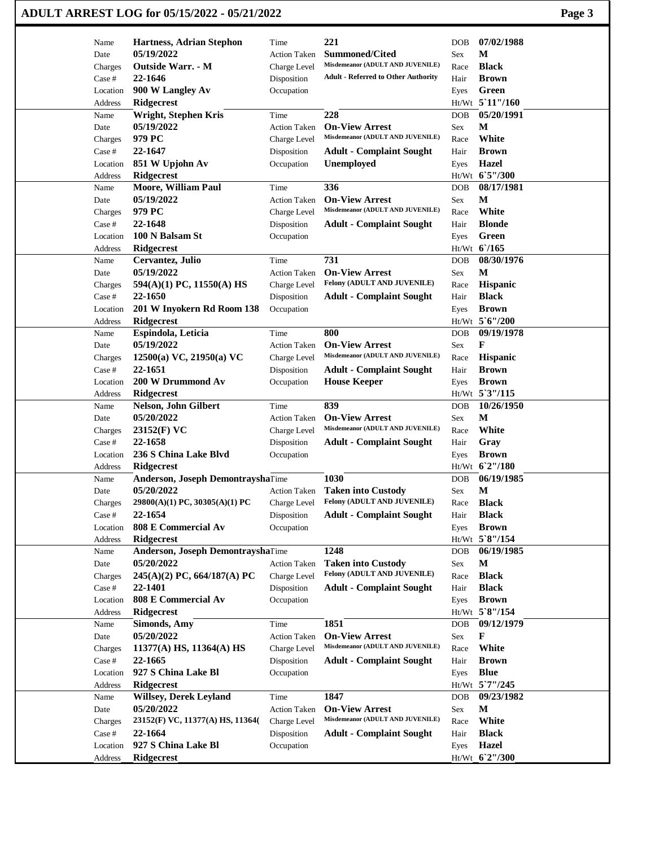## **ADULT ARREST LOG for 05/15/2022 - 05/21/2022 Page 3**

| Name                | <b>Hartness, Adrian Stephon</b>    | Time                | 221                                                       | <b>DOB</b>   | 07/02/1988              |
|---------------------|------------------------------------|---------------------|-----------------------------------------------------------|--------------|-------------------------|
| Date                | 05/19/2022                         | <b>Action Taken</b> | <b>Summoned/Cited</b>                                     | Sex          | M                       |
| Charges             | <b>Outside Warr.</b> - M           | Charge Level        | Misdemeanor (ADULT AND JUVENILE)                          | Race         | <b>Black</b>            |
| Case #              | 22-1646                            | Disposition         | <b>Adult - Referred to Other Authority</b>                | Hair         | <b>Brown</b>            |
| Location            | 900 W Langley Av                   | Occupation          |                                                           | Eyes         | Green                   |
| Address             | <b>Ridgecrest</b>                  |                     |                                                           |              | Ht/Wt 5'11"/160         |
| Name                | Wright, Stephen Kris               | Time                | 228                                                       | <b>DOB</b>   | 05/20/1991              |
| Date                | 05/19/2022                         | <b>Action Taken</b> | <b>On-View Arrest</b>                                     | Sex          | M                       |
|                     | 979 PC                             | Charge Level        | Misdemeanor (ADULT AND JUVENILE)                          |              | White                   |
| Charges             | 22-1647                            |                     |                                                           | Race<br>Hair | <b>Brown</b>            |
| Case #              |                                    | Disposition         | <b>Adult - Complaint Sought</b>                           |              | Hazel                   |
| Location            | 851 W Upjohn Av                    | Occupation          | Unemployed                                                | Eyes         | Ht/Wt 65"/300           |
| Address             | <b>Ridgecrest</b>                  |                     |                                                           |              |                         |
| Name                | <b>Moore, William Paul</b>         | Time                | 336                                                       | <b>DOB</b>   | 08/17/1981              |
| Date                | 05/19/2022                         | <b>Action Taken</b> | <b>On-View Arrest</b><br>Misdemeanor (ADULT AND JUVENILE) | Sex          | $\mathbf M$             |
| Charges             | 979 PC                             | Charge Level        |                                                           | Race         | White                   |
| Case #              | 22-1648                            | Disposition         | <b>Adult - Complaint Sought</b>                           | Hair         | <b>Blonde</b>           |
| Location            | 100 N Balsam St                    | Occupation          |                                                           | Eyes         | Green                   |
| Address             | <b>Ridgecrest</b>                  |                     |                                                           |              | Ht/Wt 6/165             |
| Name                | Cervantez, Julio                   | Time                | 731                                                       | <b>DOB</b>   | 08/30/1976              |
| Date                | 05/19/2022                         | <b>Action Taken</b> | <b>On-View Arrest</b>                                     | Sex          | M                       |
| Charges             | 594(A)(1) PC, 11550(A) HS          | Charge Level        | Felony (ADULT AND JUVENILE)                               | Race         | Hispanic                |
| Case #              | 22-1650                            | Disposition         | <b>Adult - Complaint Sought</b>                           | Hair         | <b>Black</b>            |
| Location            | 201 W Inyokern Rd Room 138         | Occupation          |                                                           | Eyes         | <b>Brown</b>            |
| Address             | <b>Ridgecrest</b>                  |                     |                                                           |              | Ht/Wt 5'6"/200          |
| Name                | Espindola, Leticia                 | Time                | 800                                                       | <b>DOB</b>   | 09/19/1978              |
| Date                | 05/19/2022                         | <b>Action Taken</b> | <b>On-View Arrest</b>                                     | Sex          | F                       |
| Charges             | 12500(a) VC, 21950(a) VC           | Charge Level        | Misdemeanor (ADULT AND JUVENILE)                          | Race         | Hispanic                |
| Case #              | 22-1651                            | Disposition         | <b>Adult - Complaint Sought</b>                           | Hair         | <b>Brown</b>            |
| Location            | 200 W Drummond Av                  | Occupation          | <b>House Keeper</b>                                       | Eyes         | <b>Brown</b>            |
| Address             | <b>Ridgecrest</b>                  |                     |                                                           |              | Ht/Wt 5'3"/115          |
| Name                | Nelson, John Gilbert               | Time                | 839                                                       | <b>DOB</b>   | 10/26/1950              |
| Date                | 05/20/2022                         | <b>Action Taken</b> | <b>On-View Arrest</b>                                     | Sex          | M                       |
| Charges             | 23152(F) VC                        | Charge Level        | Misdemeanor (ADULT AND JUVENILE)                          | Race         | White                   |
| Case #              | 22-1658                            | Disposition         | <b>Adult - Complaint Sought</b>                           | Hair         | Gray                    |
| Location            | 236 S China Lake Blvd              | Occupation          |                                                           | Eyes         | <b>Brown</b>            |
| Address             | <b>Ridgecrest</b>                  |                     |                                                           | Ht/Wt        | 62''/180                |
| Name                | Anderson, Joseph DemontrayshaTime  |                     | 1030                                                      | <b>DOB</b>   | 06/19/1985              |
| Date                | 05/20/2022                         | <b>Action Taken</b> | <b>Taken into Custody</b>                                 | Sex          | M                       |
| Charges             | $29800(A)(1)$ PC, $30305(A)(1)$ PC | Charge Level        | Felony (ADULT AND JUVENILE)                               | Race         | <b>Black</b>            |
| Case #              | 22-1654                            | Disposition         | <b>Adult - Complaint Sought</b>                           | Hair         | <b>Black</b>            |
| Location            | 808 E Commercial Av                | Occupation          |                                                           | Eyes         | <b>Brown</b>            |
| Address             | <b>Ridgecrest</b>                  |                     |                                                           |              | Ht/Wt 5`8"/154          |
| Name                | Anderson, Joseph DemontrayshaTime  |                     | 1248                                                      | DOB          | 06/19/1985              |
| Date                | 05/20/2022                         | <b>Action Taken</b> | <b>Taken into Custody</b>                                 | Sex          | M                       |
| Charges             | $245(A)(2)$ PC, 664/187(A) PC      | Charge Level        | Felony (ADULT AND JUVENILE)                               | Race         | <b>Black</b>            |
| Case #              | 22-1401                            | Disposition         | <b>Adult - Complaint Sought</b>                           | Hair         | <b>Black</b>            |
| Location            | 808 E Commercial Av                | Occupation          |                                                           | Eyes         | <b>Brown</b>            |
| Address             | <b>Ridgecrest</b>                  |                     |                                                           |              | Ht/Wt 5`8"/154          |
|                     | <b>Simonds, Amy</b>                | Time                | 1851                                                      | <b>DOB</b>   | 09/12/1979              |
|                     |                                    |                     |                                                           |              |                         |
| Name                |                                    |                     |                                                           |              |                         |
| Date                | 05/20/2022                         | <b>Action Taken</b> | <b>On-View Arrest</b><br>Misdemeanor (ADULT AND JUVENILE) | Sex          | F                       |
| Charges             | $11377(A)$ HS, $11364(A)$ HS       | Charge Level        |                                                           | Race         | White                   |
| Case #              | 22-1665                            | Disposition         | <b>Adult - Complaint Sought</b>                           | Hair         | <b>Brown</b>            |
| Location            | 927 S China Lake Bl                | Occupation          |                                                           | Eyes         | <b>Blue</b>             |
| Address             | <b>Ridgecrest</b>                  |                     |                                                           |              | Ht/Wt 5'7"/245          |
| Name                | <b>Willsey, Derek Leyland</b>      | Time                | 1847                                                      | DOB          | 09/23/1982              |
| Date                | 05/20/2022                         | Action Taken        | <b>On-View Arrest</b>                                     | Sex          | $\mathbf M$             |
| Charges             | 23152(F) VC, 11377(A) HS, 11364(   | Charge Level        | Misdemeanor (ADULT AND JUVENILE)                          | Race         | White                   |
| Case #              | 22-1664                            | Disposition         | <b>Adult - Complaint Sought</b>                           | Hair         | <b>Black</b>            |
| Location<br>Address | 927 S China Lake Bl<br>Ridgecrest  | Occupation          |                                                           | Eyes         | Hazel<br>Ht/Wt 6'2"/300 |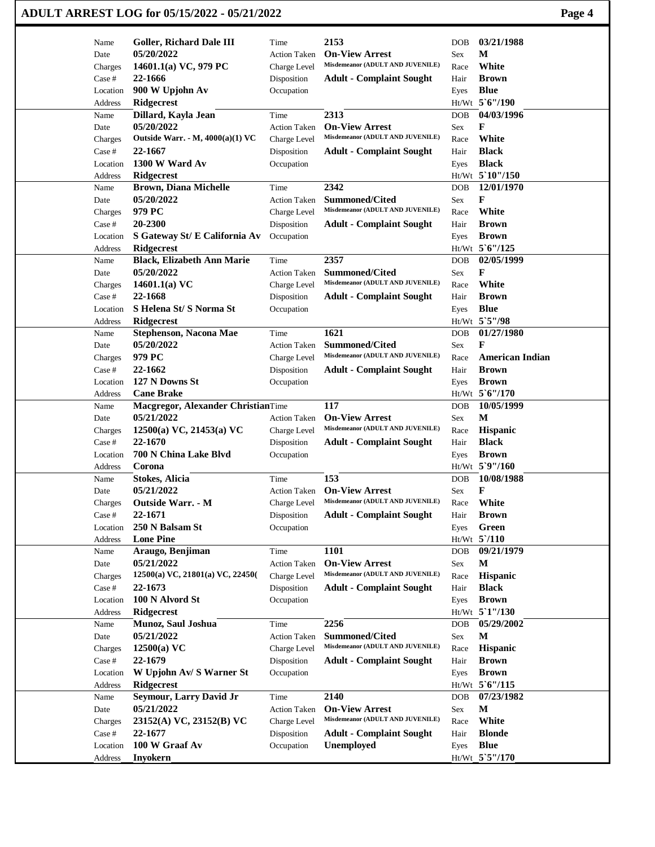|                     | ADULT ARREST LOG for 05/15/2022 - 05/21/2022  |                     |                                                           |              | Page 4                       |
|---------------------|-----------------------------------------------|---------------------|-----------------------------------------------------------|--------------|------------------------------|
| Name                | Goller, Richard Dale III                      | Time                | 2153                                                      | <b>DOB</b>   | 03/21/1988                   |
| Date                | 05/20/2022                                    | <b>Action Taken</b> | <b>On-View Arrest</b>                                     | Sex          | M                            |
| Charges             | 14601.1(a) VC, 979 PC                         | Charge Level        | Misdemeanor (ADULT AND JUVENILE)                          | Race         | White                        |
| Case #              | 22-1666                                       | Disposition         | <b>Adult - Complaint Sought</b>                           | Hair         | <b>Brown</b>                 |
| Location            | 900 W Upjohn Av                               | Occupation          |                                                           | Eyes         | <b>Blue</b>                  |
| Address             | Ridgecrest                                    |                     |                                                           |              | Ht/Wt 5'6"/190               |
| Name                | Dillard, Kayla Jean                           | Time                | 2313                                                      | <b>DOB</b>   | 04/03/1996                   |
| Date                | 05/20/2022                                    | <b>Action Taken</b> | <b>On-View Arrest</b>                                     | Sex          | F                            |
| Charges             | Outside Warr. - M, 4000(a)(1) VC              | Charge Level        | Misdemeanor (ADULT AND JUVENILE)                          | Race         | White                        |
| Case #              | 22-1667                                       | Disposition         | <b>Adult - Complaint Sought</b>                           | Hair         | <b>Black</b>                 |
| Location            | 1300 W Ward Av                                | Occupation          |                                                           | Eyes         | <b>Black</b>                 |
| Address             | <b>Ridgecrest</b>                             |                     |                                                           |              | Ht/Wt 5`10"/150              |
| Name                | <b>Brown, Diana Michelle</b>                  | Time                | 2342                                                      | <b>DOB</b>   | 12/01/1970                   |
| Date                | 05/20/2022                                    | <b>Action Taken</b> | Summoned/Cited                                            | Sex          | F                            |
| Charges             | 979 PC                                        | Charge Level        | Misdemeanor (ADULT AND JUVENILE)                          | Race         | White                        |
| Case #              | 20-2300                                       | Disposition         | <b>Adult - Complaint Sought</b>                           | Hair         | <b>Brown</b>                 |
| Location            | S Gateway St/ E California Av                 | Occupation          |                                                           | Eyes         | <b>Brown</b>                 |
| Address             | <b>Ridgecrest</b>                             |                     |                                                           |              | Ht/Wt 5'6"/125               |
| Name                | <b>Black, Elizabeth Ann Marie</b>             | Time                | 2357                                                      | <b>DOB</b>   | 02/05/1999                   |
| Date                | 05/20/2022                                    | <b>Action Taken</b> | <b>Summoned/Cited</b><br>Misdemeanor (ADULT AND JUVENILE) | Sex          | F<br>White                   |
| Charges<br>Case #   | 14601.1(a) $VC$<br>22-1668                    | Charge Level        | <b>Adult - Complaint Sought</b>                           | Race<br>Hair | <b>Brown</b>                 |
|                     | S Helena St/S Norma St                        | Disposition         |                                                           |              | <b>Blue</b>                  |
| Location<br>Address | Ridgecrest                                    | Occupation          |                                                           | Eyes         | Ht/Wt 5`5"/98                |
| Name                | Stephenson, Nacona Mae                        | Time                | 1621                                                      | <b>DOB</b>   | 01/27/1980                   |
| Date                | 05/20/2022                                    | <b>Action Taken</b> | <b>Summoned/Cited</b>                                     | Sex          | F                            |
| Charges             | 979 PC                                        | Charge Level        | Misdemeanor (ADULT AND JUVENILE)                          | Race         | <b>American Indian</b>       |
| Case #              | 22-1662                                       | Disposition         | <b>Adult - Complaint Sought</b>                           | Hair         | <b>Brown</b>                 |
| Location            | 127 N Downs St                                | Occupation          |                                                           | Eyes         | <b>Brown</b>                 |
| Address             | <b>Cane Brake</b>                             |                     |                                                           |              | Ht/Wt 5'6"/170               |
| Name                | Macgregor, Alexander ChristianTime            |                     | 117                                                       | <b>DOB</b>   | 10/05/1999                   |
| Date                | 05/21/2022                                    | <b>Action Taken</b> | <b>On-View Arrest</b>                                     | Sex          | $\mathbf{M}$                 |
| Charges             | $12500(a)$ VC, $21453(a)$ VC                  | Charge Level        | Misdemeanor (ADULT AND JUVENILE)                          | Race         | <b>Hispanic</b>              |
| Case #              | 22-1670                                       | Disposition         | <b>Adult - Complaint Sought</b>                           | Hair         | <b>Black</b>                 |
| Location            | 700 N China Lake Blvd                         | Occupation          |                                                           | Eyes         | <b>Brown</b>                 |
| Address             | Corona                                        |                     |                                                           |              | Ht/Wt 5`9"/160               |
| Name                | <b>Stokes, Alicia</b>                         | Time                | 153                                                       | <b>DOB</b>   | 10/08/1988                   |
| Date                | 05/21/2022                                    | <b>Action Taken</b> | <b>On-View Arrest</b>                                     | Sex          | F                            |
| Charges             | Outside Warr. - M                             | Charge Level        | Misdemeanor (ADULT AND JUVENILE)                          | Race         | White                        |
| Case #              | 22-1671                                       | Disposition         | <b>Adult - Complaint Sought</b>                           | Hair         | <b>Brown</b>                 |
| Location            | 250 N Balsam St                               | Occupation          |                                                           | Eyes         | Green                        |
| Address             | <b>Lone Pine</b>                              |                     |                                                           |              | $Ht/Wt$ 5 /110               |
| Name                | Araugo, Benjiman                              | Time                | 1101                                                      | DOB          | 09/21/1979                   |
| Date                | 05/21/2022                                    | <b>Action Taken</b> | <b>On-View Arrest</b>                                     | Sex          | M                            |
| Charges             | 12500(a) VC, 21801(a) VC, 22450(              | Charge Level        | Misdemeanor (ADULT AND JUVENILE)                          | Race         | Hispanic                     |
| Case #              | 22-1673                                       | Disposition         | <b>Adult - Complaint Sought</b>                           | Hair         | <b>Black</b>                 |
| Location            | 100 N Alvord St                               | Occupation          |                                                           | Eyes         | <b>Brown</b>                 |
| Address             | <b>Ridgecrest</b>                             |                     |                                                           |              | Ht/Wt 5`1"/130               |
| Name                | Munoz, Saul Joshua                            | Time                | 2256                                                      | DOB          | 05/29/2002                   |
| Date                | 05/21/2022                                    | <b>Action Taken</b> | <b>Summoned/Cited</b><br>Misdemeanor (ADULT AND JUVENILE) | Sex          | $\mathbf M$                  |
| Charges             | $12500(a)$ VC                                 | Charge Level        |                                                           | Race         | Hispanic                     |
| Case #              | 22-1679                                       | Disposition         | <b>Adult - Complaint Sought</b>                           | Hair         | <b>Brown</b><br><b>Brown</b> |
| Location            | W Upjohn Av/ S Warner St<br><b>Ridgecrest</b> | Occupation          |                                                           | Eyes         | Ht/Wt 5'6"/115               |
| Address<br>Name     | <b>Seymour, Larry David Jr</b>                | Time                | 2140                                                      | DOB          | 07/23/1982                   |
| Date                | 05/21/2022                                    | <b>Action Taken</b> | <b>On-View Arrest</b>                                     | Sex          | $\mathbf M$                  |
|                     | 23152(A) VC, 23152(B) VC                      | Charge Level        | Misdemeanor (ADULT AND JUVENILE)                          | Race         | White                        |
| Charges<br>Case #   | 22-1677                                       | Disposition         | <b>Adult - Complaint Sought</b>                           | Hair         | <b>Blonde</b>                |
| Location            | 100 W Graaf Av                                | Occupation          | Unemployed                                                | Eyes         | <b>Blue</b>                  |
| Address             | Inyokern                                      |                     |                                                           |              | Ht/Wt 5`5"/170               |
|                     |                                               |                     |                                                           |              |                              |